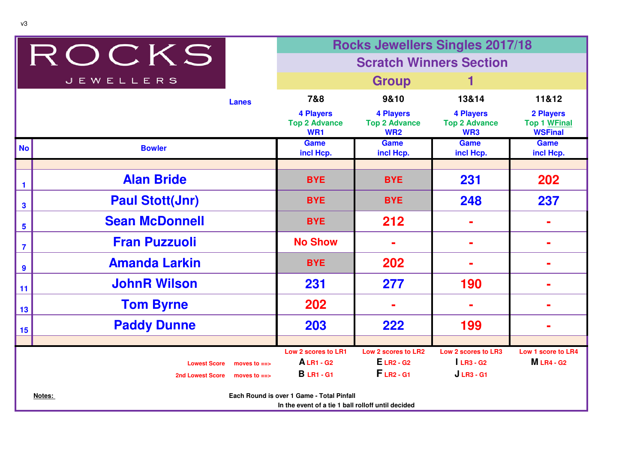|                         |                                                                                                           | <b>Rocks Jewellers Singles 2017/18</b> |                                                             |                                                             |                                                 |                                                           |  |  |
|-------------------------|-----------------------------------------------------------------------------------------------------------|----------------------------------------|-------------------------------------------------------------|-------------------------------------------------------------|-------------------------------------------------|-----------------------------------------------------------|--|--|
| ROCKS                   |                                                                                                           |                                        | <b>Scratch Winners Section</b>                              |                                                             |                                                 |                                                           |  |  |
|                         | <b>JEWELLERS</b>                                                                                          | <b>Group</b>                           |                                                             |                                                             |                                                 |                                                           |  |  |
|                         |                                                                                                           | <b>Lanes</b>                           | 7&8                                                         | 9&10                                                        | 13&14                                           | 11&12                                                     |  |  |
|                         |                                                                                                           |                                        | <b>4 Players</b><br><b>Top 2 Advance</b><br>WR <sub>1</sub> | <b>4 Players</b><br><b>Top 2 Advance</b><br><b>WR2</b>      | <b>4 Players</b><br><b>Top 2 Advance</b><br>WR3 | <b>2 Players</b><br><b>Top 1 WFinal</b><br><b>WSFinal</b> |  |  |
| <b>No</b>               | <b>Bowler</b>                                                                                             |                                        | Game<br>incl Hcp.                                           | Game<br>incl Hcp.                                           | Game<br>incl Hcp.                               | <b>Game</b><br>incl Hcp.                                  |  |  |
|                         |                                                                                                           |                                        |                                                             |                                                             |                                                 |                                                           |  |  |
| $\mathbf{1}$            | <b>Alan Bride</b>                                                                                         |                                        | <b>BYE</b>                                                  | <b>BYE</b>                                                  | 231                                             | 202                                                       |  |  |
| $\mathbf{3}$            | <b>Paul Stott(Jnr)</b>                                                                                    |                                        | <b>BYE</b>                                                  | <b>BYE</b>                                                  | 248                                             | 237                                                       |  |  |
| $5\phantom{a}$          | <b>Sean McDonnell</b>                                                                                     |                                        | <b>BYE</b>                                                  | 212                                                         |                                                 |                                                           |  |  |
| $\overline{\mathbf{7}}$ | <b>Fran Puzzuoli</b>                                                                                      |                                        | <b>No Show</b>                                              |                                                             |                                                 |                                                           |  |  |
| $\boldsymbol{9}$        | <b>Amanda Larkin</b>                                                                                      |                                        | <b>BYE</b>                                                  | 202                                                         |                                                 |                                                           |  |  |
| 11                      | <b>JohnR Wilson</b>                                                                                       |                                        | 231                                                         | 277                                                         | 190                                             |                                                           |  |  |
| 13                      | <b>Tom Byrne</b>                                                                                          |                                        | 202                                                         |                                                             |                                                 |                                                           |  |  |
| 15                      | <b>Paddy Dunne</b>                                                                                        |                                        | 203                                                         | 222                                                         | 199                                             |                                                           |  |  |
|                         |                                                                                                           |                                        |                                                             |                                                             |                                                 |                                                           |  |  |
|                         | <b>Lowest Score</b>                                                                                       | moves to $==$                          | Low 2 scores to LR1<br><b>ALR1-G2</b>                       | Low 2 scores to LR2<br>$E$ LR <sub>2</sub> - G <sub>2</sub> | Low 2 scores to LR3<br>$LR3 - G2$               | <b>Low 1 score to LR4</b><br><b>MLR4-G2</b>               |  |  |
|                         | <b>2nd Lowest Score</b>                                                                                   | moves to $==$                          | <b>B</b> LR1 - G1                                           | $FLR2 - G1$                                                 | $JLR3 - G1$                                     |                                                           |  |  |
|                         | Each Round is over 1 Game - Total Pinfall<br>Notes:<br>In the event of a tie 1 ball rolloff until decided |                                        |                                                             |                                                             |                                                 |                                                           |  |  |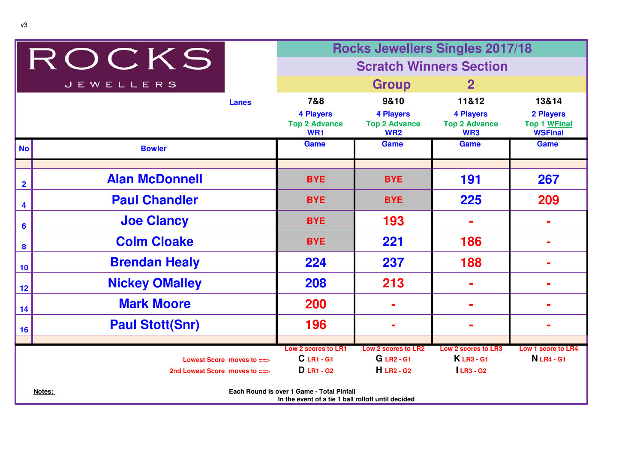|                                                                                                           |                                | <b>Rocks Jewellers Singles 2017/18</b>          |                                                                  |                                                 |                                                    |  |
|-----------------------------------------------------------------------------------------------------------|--------------------------------|-------------------------------------------------|------------------------------------------------------------------|-------------------------------------------------|----------------------------------------------------|--|
|                                                                                                           | ROCKS                          | <b>Scratch Winners Section</b>                  |                                                                  |                                                 |                                                    |  |
|                                                                                                           | <b>JEWELLERS</b>               | <b>Group</b><br>$\mathbf{2}$                    |                                                                  |                                                 |                                                    |  |
|                                                                                                           | <b>Lanes</b>                   | 7&8                                             | 9&10                                                             | 11&12                                           | 13&14                                              |  |
|                                                                                                           |                                | <b>4 Players</b><br><b>Top 2 Advance</b><br>WR1 | <b>4 Players</b><br><b>Top 2 Advance</b><br><b>WR2</b>           | <b>4 Players</b><br><b>Top 2 Advance</b><br>WR3 | 2 Players<br><b>Top 1 WFinal</b><br><b>WSFinal</b> |  |
| <b>No</b>                                                                                                 | <b>Bowler</b>                  | <b>Game</b>                                     | <b>Game</b>                                                      | <b>Game</b>                                     | <b>Game</b>                                        |  |
|                                                                                                           |                                |                                                 |                                                                  |                                                 |                                                    |  |
| $\overline{\mathbf{2}}$                                                                                   | <b>Alan McDonnell</b>          | <b>BYE</b>                                      | <b>BYE</b>                                                       | 191                                             | 267                                                |  |
| 4                                                                                                         | <b>Paul Chandler</b>           | <b>BYE</b>                                      | <b>BYE</b>                                                       | 225                                             | 209                                                |  |
| $6\phantom{a}$                                                                                            | <b>Joe Clancy</b>              | <b>BYE</b>                                      | 193                                                              |                                                 |                                                    |  |
| $\boldsymbol{8}$                                                                                          | <b>Colm Cloake</b>             | <b>BYE</b>                                      | 221                                                              | 186                                             |                                                    |  |
| 10                                                                                                        | <b>Brendan Healy</b>           | 224                                             | 237                                                              | 188                                             |                                                    |  |
| 12                                                                                                        | <b>Nickey OMalley</b>          | 208                                             | 213                                                              |                                                 |                                                    |  |
| 14                                                                                                        | <b>Mark Moore</b>              | 200                                             |                                                                  |                                                 |                                                    |  |
| 16                                                                                                        | <b>Paul Stott(Snr)</b>         | 196                                             |                                                                  |                                                 |                                                    |  |
|                                                                                                           |                                |                                                 |                                                                  |                                                 |                                                    |  |
|                                                                                                           | Lowest Score moves to ==>      | Low 2 scores to LR1<br><b>C</b> LR1 - G1        | Low 2 scores to LR2<br><b>G</b> LR <sub>2</sub> - G <sub>1</sub> | Low 2 scores to LR3<br><b>KLR3-G1</b>           | Low 1 score to LR4<br><b>N</b> LR4 - G1            |  |
|                                                                                                           | 2nd Lowest Score moves to $==$ | <b>D</b> LR1 - G <sub>2</sub>                   | $H$ LR <sub>2</sub> - G <sub>2</sub>                             | $LR3 - G2$                                      |                                                    |  |
| Each Round is over 1 Game - Total Pinfall<br>Notes:<br>In the event of a tie 1 ball rolloff until decided |                                |                                                 |                                                                  |                                                 |                                                    |  |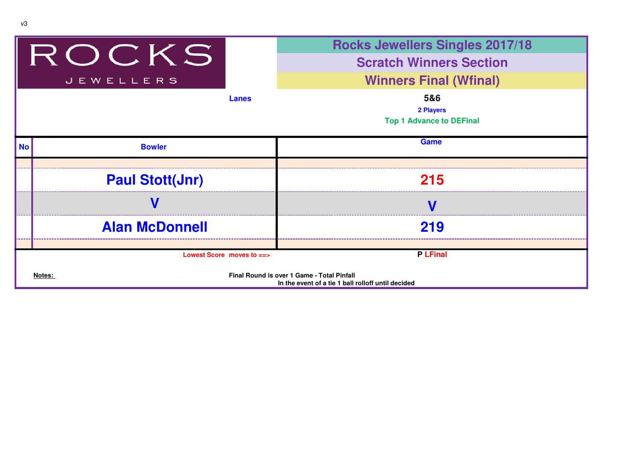|           |                           | <b>Rocks Jewellers Singles 2017/18</b>                                                           |
|-----------|---------------------------|--------------------------------------------------------------------------------------------------|
|           | IROCKS                    | <b>Scratch Winners Section</b>                                                                   |
|           | <b>JEWELLERS</b>          | <b>Winners Final (Wfinal)</b>                                                                    |
|           | Lanes                     | 5&6                                                                                              |
|           |                           | 2 Players                                                                                        |
|           |                           | <b>Top 1 Advance to DEFinal</b>                                                                  |
| <b>No</b> | <b>Bowler</b>             | Game                                                                                             |
|           |                           |                                                                                                  |
|           | <b>Paul Stott(Jnr)</b>    | 215                                                                                              |
|           |                           |                                                                                                  |
|           | <b>Alan McDonnell</b>     | 219                                                                                              |
|           |                           |                                                                                                  |
|           | Lowest Score moves to $=$ | <b>P LFinal</b>                                                                                  |
| Notes:    |                           | Final Round is over 1 Game - Total Pinfall<br>In the event of a tie 1 ball rolloff until decided |

v3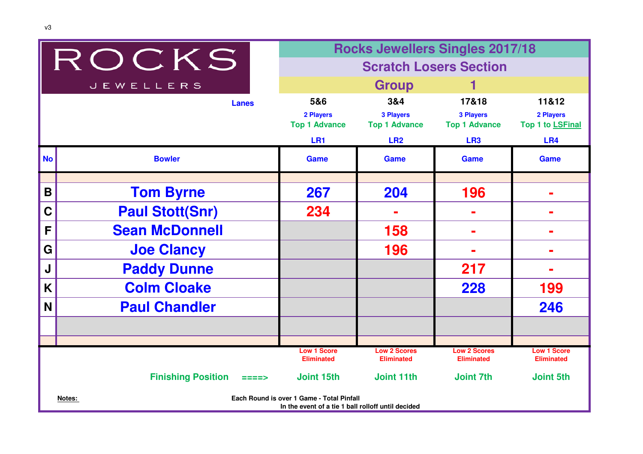| ROCKS                                |                                                                                                           | <b>Rocks Jewellers Singles 2017/18</b>                      |                                                                    |                                                                      |                                                           |  |
|--------------------------------------|-----------------------------------------------------------------------------------------------------------|-------------------------------------------------------------|--------------------------------------------------------------------|----------------------------------------------------------------------|-----------------------------------------------------------|--|
|                                      |                                                                                                           | <b>Scratch Losers Section</b>                               |                                                                    |                                                                      |                                                           |  |
|                                      | <b>JEWELLERS</b>                                                                                          | <b>Group</b>                                                |                                                                    |                                                                      |                                                           |  |
|                                      | <b>Lanes</b>                                                                                              | 5&6<br>2 Players<br><b>Top 1 Advance</b><br>LR <sub>1</sub> | 3&4<br><b>3 Players</b><br><b>Top 1 Advance</b><br>LR <sub>2</sub> | 17&18<br><b>3 Players</b><br><b>Top 1 Advance</b><br>LR <sub>3</sub> | 11&12<br>2 Players<br>Top 1 to LSFinal<br>LR <sub>4</sub> |  |
| No                                   | <b>Bowler</b>                                                                                             | <b>Game</b>                                                 | <b>Game</b>                                                        | Game                                                                 | Game                                                      |  |
|                                      |                                                                                                           |                                                             |                                                                    |                                                                      |                                                           |  |
| B                                    | <b>Tom Byrne</b>                                                                                          | 267                                                         | 204                                                                | 196                                                                  |                                                           |  |
| $\mathbf C$                          | <b>Paul Stott(Snr)</b>                                                                                    | 234                                                         |                                                                    |                                                                      | -                                                         |  |
| F                                    | <b>Sean McDonnell</b>                                                                                     |                                                             | 158                                                                | -                                                                    | Ē.                                                        |  |
| G                                    | <b>Joe Clancy</b>                                                                                         |                                                             | 196                                                                | ÷                                                                    | $\blacksquare$                                            |  |
| J                                    | <b>Paddy Dunne</b>                                                                                        |                                                             |                                                                    | 217                                                                  | ╾                                                         |  |
| K                                    | <b>Colm Cloake</b>                                                                                        |                                                             |                                                                    | 228                                                                  | 199                                                       |  |
| N                                    | <b>Paul Chandler</b>                                                                                      |                                                             |                                                                    |                                                                      | 246                                                       |  |
|                                      |                                                                                                           |                                                             |                                                                    |                                                                      |                                                           |  |
|                                      |                                                                                                           | <b>Low 1 Score</b>                                          | <b>Low 2 Scores</b>                                                | <b>Low 2 Scores</b>                                                  | <b>Low 1 Score</b>                                        |  |
|                                      |                                                                                                           | <b>Eliminated</b>                                           | <b>Eliminated</b>                                                  | <b>Eliminated</b>                                                    | <b>Eliminated</b>                                         |  |
| <b>Finishing Position</b><br>$====>$ |                                                                                                           | Joint 15th                                                  | <b>Joint 11th</b>                                                  | <b>Joint 7th</b>                                                     | <b>Joint 5th</b>                                          |  |
|                                      | Each Round is over 1 Game - Total Pinfall<br>Notes:<br>In the event of a tie 1 ball rolloff until decided |                                                             |                                                                    |                                                                      |                                                           |  |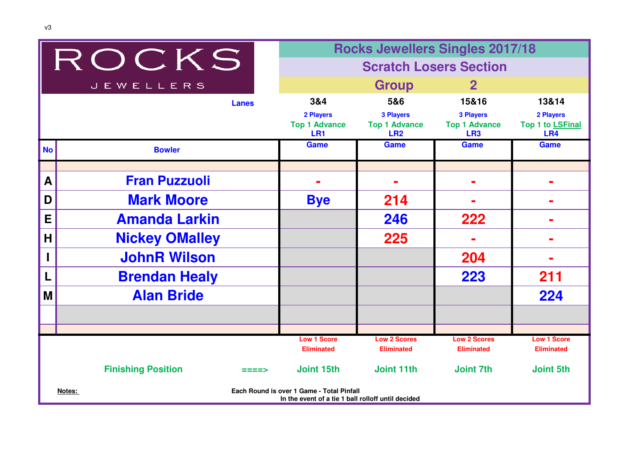|           |                                                                                                           |                                          | <b>Rocks Jewellers Singles 2017/18</b>          |                                                             |                                         |  |  |
|-----------|-----------------------------------------------------------------------------------------------------------|------------------------------------------|-------------------------------------------------|-------------------------------------------------------------|-----------------------------------------|--|--|
|           | ROCKS                                                                                                     |                                          | <b>Scratch Losers Section</b>                   |                                                             |                                         |  |  |
|           | <b>JEWELLERS</b>                                                                                          |                                          | <b>Group</b>                                    | $\mathbf{2}$                                                |                                         |  |  |
|           | <b>Lanes</b>                                                                                              | 3&4                                      | 5&6                                             | 15&16                                                       | 13&14                                   |  |  |
|           |                                                                                                           | 2 Players<br><b>Top 1 Advance</b><br>LR1 | <b>3 Players</b><br><b>Top 1 Advance</b><br>LR2 | <b>3 Players</b><br><b>Top 1 Advance</b><br>LR <sub>3</sub> | 2 Players<br>Top 1 to LSFinal<br>LR4    |  |  |
| <b>No</b> | <b>Bowler</b>                                                                                             | <b>Game</b>                              | <b>Game</b>                                     | <b>Game</b>                                                 | <b>Game</b>                             |  |  |
|           |                                                                                                           |                                          |                                                 |                                                             |                                         |  |  |
| A         | <b>Fran Puzzuoli</b>                                                                                      |                                          |                                                 |                                                             |                                         |  |  |
| D         | <b>Mark Moore</b>                                                                                         | <b>Bye</b>                               | 214                                             |                                                             |                                         |  |  |
| E         | <b>Amanda Larkin</b>                                                                                      |                                          | 246                                             | 222                                                         |                                         |  |  |
| H         | <b>Nickey OMalley</b>                                                                                     |                                          | 225                                             |                                                             |                                         |  |  |
| L         | <b>JohnR Wilson</b>                                                                                       |                                          |                                                 | 204                                                         |                                         |  |  |
| L         | <b>Brendan Healy</b>                                                                                      |                                          |                                                 | 223                                                         | 211                                     |  |  |
| M         | <b>Alan Bride</b>                                                                                         |                                          |                                                 |                                                             | 224                                     |  |  |
|           |                                                                                                           |                                          |                                                 |                                                             |                                         |  |  |
|           |                                                                                                           |                                          |                                                 |                                                             |                                         |  |  |
|           |                                                                                                           | <b>Low 1 Score</b><br><b>Eliminated</b>  | <b>Low 2 Scores</b><br><b>Eliminated</b>        | <b>Low 2 Scores</b><br><b>Eliminated</b>                    | <b>Low 1 Score</b><br><b>Eliminated</b> |  |  |
|           | <b>Finishing Position</b><br>====>                                                                        | Joint 15th                               | Joint 11th                                      | <b>Joint 7th</b>                                            | <b>Joint 5th</b>                        |  |  |
|           | Each Round is over 1 Game - Total Pinfall<br>Notes:<br>In the event of a tie 1 ball rolloff until decided |                                          |                                                 |                                                             |                                         |  |  |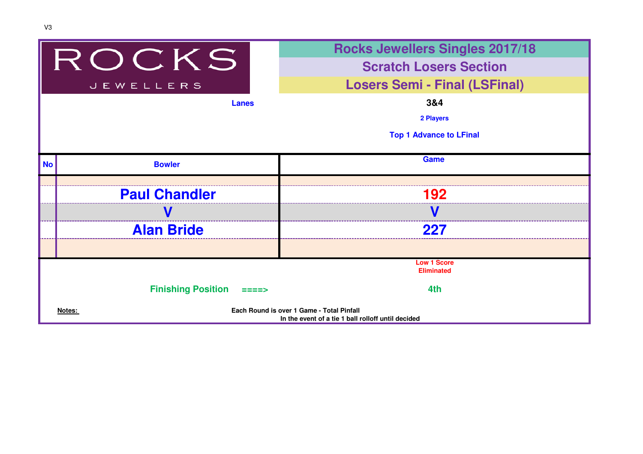|                  |                                              | <b>Rocks Jewellers Singles 2017/18</b>                                                          |  |  |
|------------------|----------------------------------------------|-------------------------------------------------------------------------------------------------|--|--|
| ROCKS            |                                              | <b>Scratch Losers Section</b>                                                                   |  |  |
| <b>JEWELLERS</b> |                                              | <b>Losers Semi - Final (LSFinal)</b>                                                            |  |  |
|                  | <b>Lanes</b>                                 | 3&4                                                                                             |  |  |
|                  |                                              | 2 Players                                                                                       |  |  |
|                  |                                              | <b>Top 1 Advance to LFinal</b>                                                                  |  |  |
|                  |                                              |                                                                                                 |  |  |
| <b>No</b>        | <b>Bowler</b>                                | <b>Game</b>                                                                                     |  |  |
|                  |                                              |                                                                                                 |  |  |
|                  | <b>Paul Chandler</b>                         | 192                                                                                             |  |  |
|                  |                                              |                                                                                                 |  |  |
|                  | <b>Alan Bride</b>                            | 227                                                                                             |  |  |
|                  |                                              |                                                                                                 |  |  |
|                  |                                              | <b>Low 1 Score</b><br><b>Eliminated</b>                                                         |  |  |
|                  |                                              |                                                                                                 |  |  |
|                  | <b>Finishing Position</b><br>$=$ $=$ $=$ $>$ | 4th                                                                                             |  |  |
|                  | Notes:                                       | Each Round is over 1 Game - Total Pinfall<br>In the event of a tie 1 ball rolloff until decided |  |  |
|                  |                                              |                                                                                                 |  |  |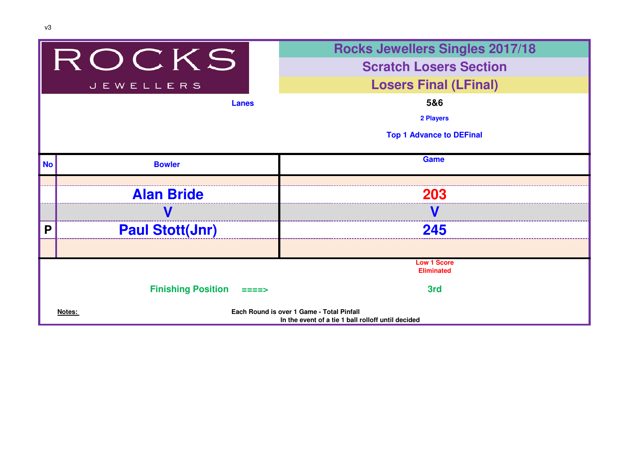|              |                           | <b>Rocks Jewellers Singles 2017/18</b>                                                          |
|--------------|---------------------------|-------------------------------------------------------------------------------------------------|
| ROCKS        |                           | <b>Scratch Losers Section</b>                                                                   |
|              | <b>JEWELLERS</b>          | <b>Losers Final (LFinal)</b>                                                                    |
| <b>Lanes</b> |                           | 5&6                                                                                             |
|              |                           | 2 Players                                                                                       |
|              |                           | <b>Top 1 Advance to DEFinal</b>                                                                 |
| <b>No</b>    | <b>Bowler</b>             | <b>Game</b>                                                                                     |
|              |                           |                                                                                                 |
|              | <b>Alan Bride</b>         | 203                                                                                             |
|              |                           |                                                                                                 |
| P            | <b>Paul Stott(Jnr)</b>    | 245                                                                                             |
|              |                           |                                                                                                 |
|              |                           | <b>Low 1 Score</b><br><b>Eliminated</b>                                                         |
|              | <b>Finishing Position</b> | 3rd                                                                                             |
| Notes:       |                           | Each Round is over 1 Game - Total Pinfall<br>In the event of a tie 1 ball rolloff until decided |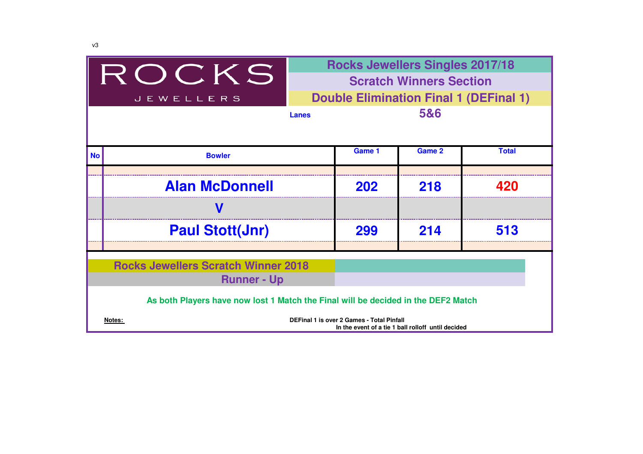| ROCKS<br><b>JEWELLERS</b>                                                         | <b>Rocks Jewellers Singles 2017/18</b><br><b>Scratch Winners Section</b><br><b>Double Elimination Final 1 (DEFinal 1)</b><br>5&6<br><b>Lanes</b> |        |        |              |  |
|-----------------------------------------------------------------------------------|--------------------------------------------------------------------------------------------------------------------------------------------------|--------|--------|--------------|--|
| <b>No</b><br><b>Bowler</b>                                                        |                                                                                                                                                  | Game 1 | Game 2 | <b>Total</b> |  |
| <b>Alan McDonnell</b>                                                             |                                                                                                                                                  | 202    | 218    | 420          |  |
|                                                                                   |                                                                                                                                                  |        |        |              |  |
| <b>Paul Stott(Jnr)</b>                                                            |                                                                                                                                                  | 299    | 214    | 513          |  |
| <b>Rocks Jewellers Scratch Winner 2018</b><br><b>Runner - Up</b>                  |                                                                                                                                                  |        |        |              |  |
| As both Players have now lost 1 Match the Final will be decided in the DEF2 Match |                                                                                                                                                  |        |        |              |  |
| Notes:                                                                            | <b>DEFinal 1 is over 2 Games - Total Pinfall</b><br>In the event of a tie 1 ball rolloff until decided                                           |        |        |              |  |